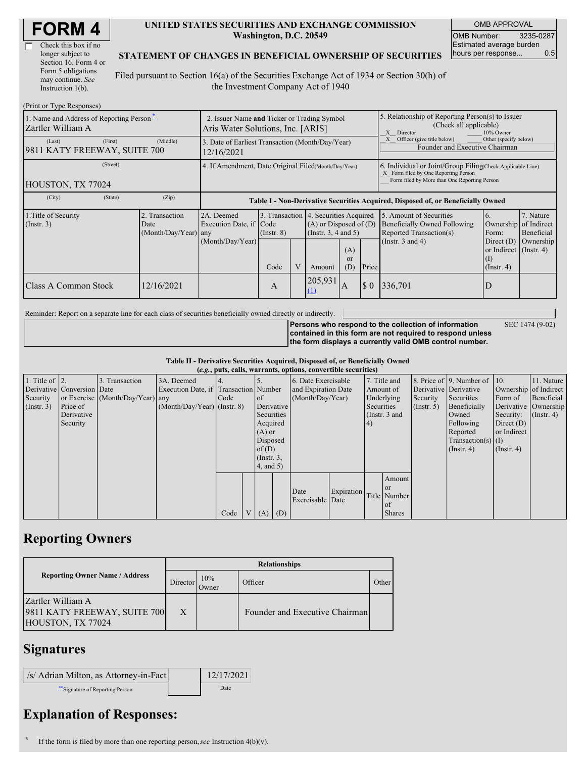| <b>FORM4</b> |
|--------------|
|--------------|

| Check this box if no  |
|-----------------------|
| longer subject to     |
| Section 16. Form 4 or |
| Form 5 obligations    |
| may continue. See     |
| Instruction $1(b)$ .  |

#### **UNITED STATES SECURITIES AND EXCHANGE COMMISSION Washington, D.C. 20549**

OMB APPROVAL OMB Number: 3235-0287 Estimated average burden hours per response... 0.5

### **STATEMENT OF CHANGES IN BENEFICIAL OWNERSHIP OF SECURITIES**

Filed pursuant to Section 16(a) of the Securities Exchange Act of 1934 or Section 30(h) of the Investment Company Act of 1940

| (Print or Type Responses)                                     |                                                                                  |                                                |                                                                                  |                 |   |                                                                                                          |                                                                                                                                                    |          |                                                                                                                    |                                                                                             |                                      |
|---------------------------------------------------------------|----------------------------------------------------------------------------------|------------------------------------------------|----------------------------------------------------------------------------------|-----------------|---|----------------------------------------------------------------------------------------------------------|----------------------------------------------------------------------------------------------------------------------------------------------------|----------|--------------------------------------------------------------------------------------------------------------------|---------------------------------------------------------------------------------------------|--------------------------------------|
| 1. Name and Address of Reporting Person*<br>Zartler William A | 2. Issuer Name and Ticker or Trading Symbol<br>Aris Water Solutions, Inc. [ARIS] |                                                |                                                                                  |                 |   |                                                                                                          | 5. Relationship of Reporting Person(s) to Issuer<br>(Check all applicable)<br>X Director<br>10% Owner                                              |          |                                                                                                                    |                                                                                             |                                      |
| (Last)<br>9811 KATY FREEWAY, SUITE 700                        | (First)                                                                          | (Middle)                                       | 3. Date of Earliest Transaction (Month/Day/Year)<br>12/16/2021                   |                 |   |                                                                                                          |                                                                                                                                                    |          | Other (specify below)<br>Officer (give title below)<br>Founder and Executive Chairman                              |                                                                                             |                                      |
| HOUSTON, TX 77024                                             | 4. If Amendment, Date Original Filed(Month/Day/Year)                             |                                                |                                                                                  |                 |   |                                                                                                          | 6. Individual or Joint/Group Filing Check Applicable Line)<br>X Form filed by One Reporting Person<br>Form filed by More than One Reporting Person |          |                                                                                                                    |                                                                                             |                                      |
| (City)                                                        | (State)                                                                          | (Zip)                                          | Table I - Non-Derivative Securities Acquired, Disposed of, or Beneficially Owned |                 |   |                                                                                                          |                                                                                                                                                    |          |                                                                                                                    |                                                                                             |                                      |
| 1. Title of Security<br>$($ Instr. 3 $)$                      |                                                                                  | 2. Transaction<br>Date<br>(Month/Day/Year) any | 2A. Deemed<br>Execution Date, if Code<br>(Month/Day/Year)                        | $($ Instr. $8)$ |   | 3. Transaction 4. Securities Acquired<br>$(A)$ or Disposed of $(D)$<br>(Insert. 3, 4 and 5)<br>(A)<br>or |                                                                                                                                                    |          | 5. Amount of Securities<br><b>Beneficially Owned Following</b><br>Reported Transaction(s)<br>(Instr. $3$ and $4$ ) | 6.<br>Ownership of Indirect<br>Form:<br>Direct $(D)$<br>or Indirect $($ Instr. 4 $)$<br>(I) | 7. Nature<br>Beneficial<br>Ownership |
|                                                               |                                                                                  |                                                |                                                                                  | Code            | V | Amount                                                                                                   | (D)                                                                                                                                                | Price    |                                                                                                                    | $($ Instr. 4 $)$                                                                            |                                      |
| Class A Common Stock                                          |                                                                                  | 12/16/2021                                     |                                                                                  | A               |   | 205,931<br>$\Omega$                                                                                      | A                                                                                                                                                  | $\Omega$ | 336.701                                                                                                            | D                                                                                           |                                      |

Reminder: Report on a separate line for each class of securities beneficially owned directly or indirectly.

SEC 1474 (9-02)

**Persons who respond to the collection of information contained in this form are not required to respond unless the form displays a currently valid OMB control number.**

**Table II - Derivative Securities Acquired, Disposed of, or Beneficially Owned**

| (e.g., puts, calls, warrants, options, convertible securities) |                            |                                  |                                       |      |  |                 |                     |                     |            |               |               |                       |                              |                       |                      |
|----------------------------------------------------------------|----------------------------|----------------------------------|---------------------------------------|------|--|-----------------|---------------------|---------------------|------------|---------------|---------------|-----------------------|------------------------------|-----------------------|----------------------|
| 1. Title of $\vert$ 2.                                         |                            | 3. Transaction                   | 3A. Deemed                            |      |  |                 |                     | 6. Date Exercisable |            |               | 7. Title and  |                       | 8. Price of 9. Number of 10. |                       | 11. Nature           |
|                                                                | Derivative Conversion Date |                                  | Execution Date, if Transaction Number |      |  |                 | and Expiration Date |                     | Amount of  |               |               | Derivative Derivative |                              | Ownership of Indirect |                      |
| Security                                                       |                            | or Exercise (Month/Day/Year) any |                                       | Code |  | <sub>of</sub>   |                     | (Month/Day/Year)    |            | Underlying    |               | Security              | Securities                   | Form of               | Beneficial           |
| (Insert. 3)                                                    | Price of                   |                                  | $(Month/Day/Year)$ (Instr. 8)         |      |  |                 | Derivative          |                     |            | Securities    |               | (Insert, 5)           | Beneficially                 |                       | Derivative Ownership |
|                                                                | Derivative                 |                                  |                                       |      |  | Securities      |                     |                     |            | (Instr. 3 and |               |                       | Owned                        | Security:             | $($ Instr. 4)        |
|                                                                | Security                   |                                  |                                       |      |  | Acquired        |                     |                     |            | (4)           |               |                       | Following                    | Direct $(D)$          |                      |
|                                                                |                            |                                  |                                       |      |  | $(A)$ or        |                     |                     |            |               |               |                       | Reported                     | or Indirect           |                      |
|                                                                |                            |                                  |                                       |      |  | Disposed        |                     |                     |            |               |               |                       | $Transaction(s)$ (I)         |                       |                      |
|                                                                |                            |                                  |                                       |      |  | of $(D)$        |                     |                     |            |               |               |                       | $($ Instr. 4 $)$             | $($ Instr. 4 $)$      |                      |
|                                                                |                            |                                  |                                       |      |  | $($ Instr. $3,$ |                     |                     |            |               |               |                       |                              |                       |                      |
|                                                                |                            |                                  |                                       |      |  | $4$ , and 5)    |                     |                     |            |               |               |                       |                              |                       |                      |
|                                                                |                            |                                  |                                       |      |  |                 |                     |                     |            |               | Amount        |                       |                              |                       |                      |
|                                                                |                            |                                  |                                       |      |  |                 |                     | Date                | Expiration |               | <b>or</b>     |                       |                              |                       |                      |
|                                                                |                            |                                  |                                       |      |  |                 |                     | Exercisable Date    |            |               | Title Number  |                       |                              |                       |                      |
|                                                                |                            |                                  |                                       |      |  |                 |                     |                     |            |               | of            |                       |                              |                       |                      |
|                                                                |                            |                                  |                                       | Code |  | $V(A)$ (D)      |                     |                     |            |               | <b>Shares</b> |                       |                              |                       |                      |

# **Reporting Owners**

|                                                                        | <b>Relationships</b> |              |                                |       |  |  |  |  |  |  |
|------------------------------------------------------------------------|----------------------|--------------|--------------------------------|-------|--|--|--|--|--|--|
| <b>Reporting Owner Name / Address</b>                                  | Director             | 10%<br>Owner | Officer                        | Other |  |  |  |  |  |  |
| Zartler William A<br>9811 KATY FREEWAY, SUITE 700<br>HOUSTON, TX 77024 | X                    |              | Founder and Executive Chairman |       |  |  |  |  |  |  |

## **Signatures**

| /s/ Adrian Milton, as Attorney-in-Fact | 12/17/2021 |
|----------------------------------------|------------|
| ** Signature of Reporting Person       | Date       |

# **Explanation of Responses:**

**\*** If the form is filed by more than one reporting person,*see* Instruction 4(b)(v).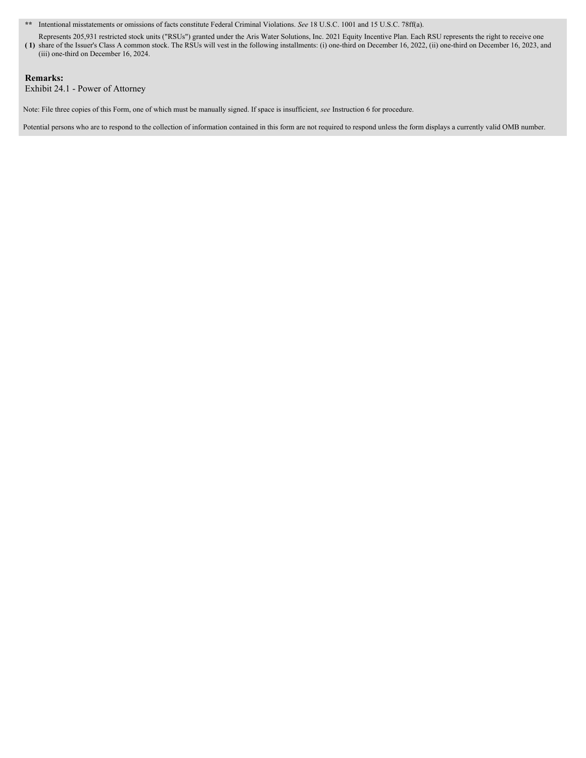**\*\*** Intentional misstatements or omissions of facts constitute Federal Criminal Violations. *See* 18 U.S.C. 1001 and 15 U.S.C. 78ff(a).

**( 1)** share of the Issuer's Class A common stock. The RSUs will vest in the following installments: (i) one-third on December 16, 2022, (ii) one-third on December 16, 2023, and Represents 205,931 restricted stock units ("RSUs") granted under the Aris Water Solutions, Inc. 2021 Equity Incentive Plan. Each RSU represents the right to receive one (iii) one-third on December 16, 2024.

### **Remarks:**

Exhibit 24.1 - Power of Attorney

Note: File three copies of this Form, one of which must be manually signed. If space is insufficient, *see* Instruction 6 for procedure.

Potential persons who are to respond to the collection of information contained in this form are not required to respond unless the form displays a currently valid OMB number.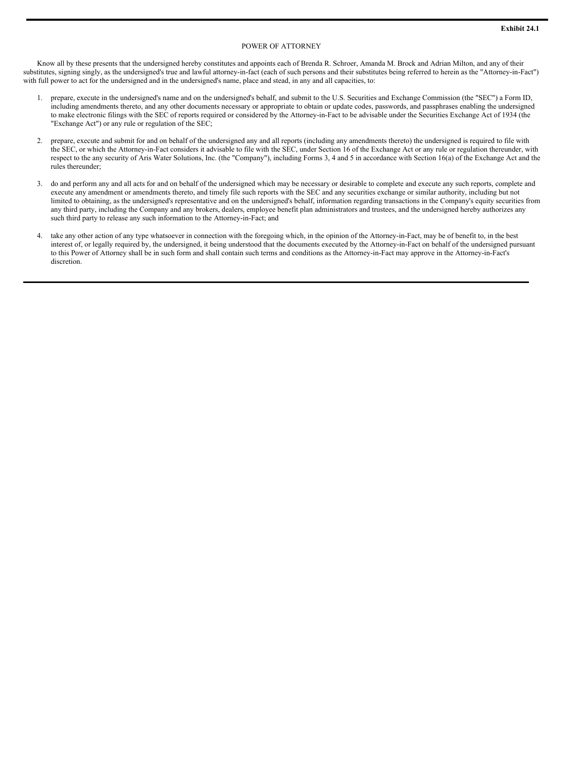#### POWER OF ATTORNEY

Know all by these presents that the undersigned hereby constitutes and appoints each of Brenda R. Schroer, Amanda M. Brock and Adrian Milton, and any of their substitutes, signing singly, as the undersigned's true and lawful attorney-in-fact (each of such persons and their substitutes being referred to herein as the "Attorney-in-Fact") with full power to act for the undersigned and in the undersigned's name, place and stead, in any and all capacities, to:

- 1. prepare, execute in the undersigned's name and on the undersigned's behalf, and submit to the U.S. Securities and Exchange Commission (the "SEC") a Form ID, including amendments thereto, and any other documents necessary or appropriate to obtain or update codes, passwords, and passphrases enabling the undersigned to make electronic filings with the SEC of reports required or considered by the Attorney-in-Fact to be advisable under the Securities Exchange Act of 1934 (the "Exchange Act") or any rule or regulation of the SEC;
- 2. prepare, execute and submit for and on behalf of the undersigned any and all reports (including any amendments thereto) the undersigned is required to file with the SEC, or which the Attorney-in-Fact considers it advisable to file with the SEC, under Section 16 of the Exchange Act or any rule or regulation thereunder, with respect to the any security of Aris Water Solutions, Inc. (the "Company"), including Forms 3, 4 and 5 in accordance with Section 16(a) of the Exchange Act and the rules thereunder;
- 3. do and perform any and all acts for and on behalf of the undersigned which may be necessary or desirable to complete and execute any such reports, complete and execute any amendment or amendments thereto, and timely file such reports with the SEC and any securities exchange or similar authority, including but not limited to obtaining, as the undersigned's representative and on the undersigned's behalf, information regarding transactions in the Company's equity securities from any third party, including the Company and any brokers, dealers, employee benefit plan administrators and trustees, and the undersigned hereby authorizes any such third party to release any such information to the Attorney-in-Fact; and
- 4. take any other action of any type whatsoever in connection with the foregoing which, in the opinion of the Attorney-in-Fact, may be of benefit to, in the best interest of, or legally required by, the undersigned, it being understood that the documents executed by the Attorney-in-Fact on behalf of the undersigned pursuant to this Power of Attorney shall be in such form and shall contain such terms and conditions as the Attorney-in-Fact may approve in the Attorney-in-Fact's discretion.